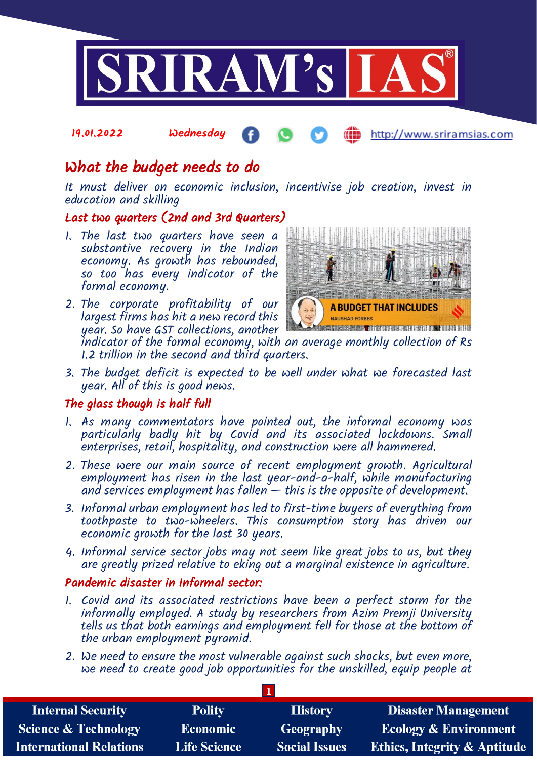

#### 19.01.2022 Wednesday http://www.sriramsias.com

# What the budget needs to do

It must deliver on economic inclusion, incentivise job creation, invest in education and skilling

## Last two quarters (2nd and 3rd Quarters)

- 1. The last two quarters have seen a substantive recovery in the Indian economy. As growth has rebounded, so too has every indicator of the formal economy.
- 2. The corporate profitability of our largest firms has hit a new record this year. So have GST collections, another



indicator of the formal economy, with an average monthly collection of Rs 1.2 trillion in the second and third quarters.

3. The budget deficit is expected to be well under what we forecasted last year. All of this is good news.

### The glass though is half full

- 1. As many commentators have pointed out, the informal economy was particularly badly hit by Covid and its associated lockdowns. Small enterprises, retail, hospitality, and construction were all hammered.
- 2. These were our main source of recent employment growth. Agricultural employment has risen in the last year-and-a-half, while manufacturing and services employment has fallen  $-$  this is the opposite of development.
- 3. Informal urban employment has led to first-time buyers of everything from toothpaste to two-wheelers. This consumption story has driven our economic growth for the last 30 years.
- 4. Informal service sector jobs may not seem like great jobs to us, but they are greatly prized relative to eking out a marginal existence in agriculture.

### Pandemic disaster in Informal sector:

- 1. Covid and its associated restrictions have been a perfect storm for the informally employed. A study by researchers from Azim Premji University tells us that both earnings and employment fell for those at the bottom of the urban employment pyramid.
- 2. We need to ensure the most vulnerable against such shocks, but even more, we need to create good job opportunities for the unskilled, equip people at

| <b>Internal Security</b>        | <b>Polity</b>       | <b>History</b>       | <b>Disaster Management</b>              |  |  |  |
|---------------------------------|---------------------|----------------------|-----------------------------------------|--|--|--|
| <b>Science &amp; Technology</b> | <b>Economic</b>     | <b>Geography</b>     | <b>Ecology &amp; Environment</b>        |  |  |  |
| <b>International Relations</b>  | <b>Life Science</b> | <b>Social Issues</b> | <b>Ethics, Integrity &amp; Aptitude</b> |  |  |  |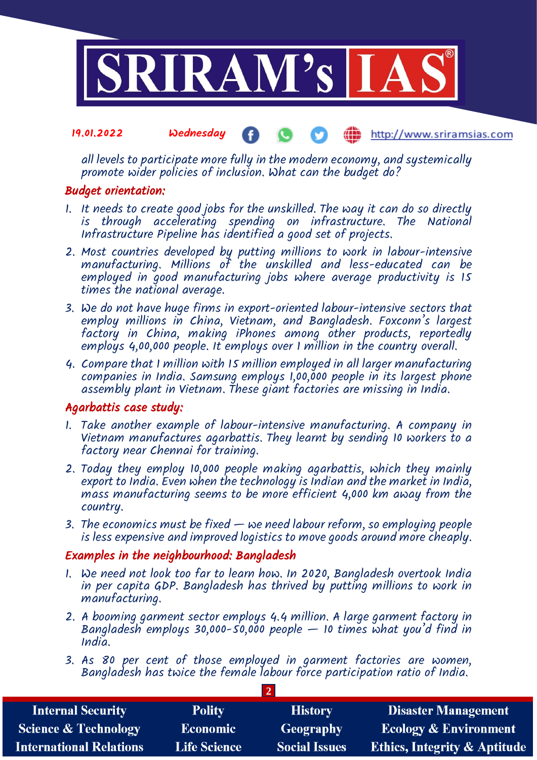

#### 19.01.2022 Wednesday http://www.sriramsias.com

all levels to participate more fully in the modern economy, and systemically promote wider policies of inclusion. What can the budget do?

#### Budget orientation:

- 1. It needs to create good jobs for the unskilled. The way it can do so directly is through accelerating spending on infrastructure. The National Infrastructure Pipeline has identified a good set of projects.
- 2. Most countries developed by putting millions to work in labour-intensive manufacturing. Millions of the unskilled and less-educated can be employed in good manufacturing jobs where average productivity is 15 times the national average.
- 3. We do not have huge firms in export-oriented labour-intensive sectors that employ millions in China, Vietnam, and Bangladesh. Foxconn's largest factory in China, making iPhones among other products, reportedly employs 4,00,000 people. It employs over I million in the country overall.
- 4. Compare that 1 million with 15 million employed in all larger manufacturing companies in India. Samsung employs 1,00,000 people in its largest phone assembly plant in Vietnam. These giant factories are missing in India.

### Agarbattis case study:

- 1. Take another example of labour-intensive manufacturing. A company in Vietnam manufactures agarbattis. They learnt by sending 10 workers to a factory near Chennai for training.
- 2. Today they employ 10,000 people making agarbattis, which they mainly export to India. Even when the technology is Indian and the market in India, mass manufacturing seems to be more efficient 4,000 km away from the country.
- 3. The economics must be fixed we need labour reform, so employing people is less expensive and improved logistics to move goods around more cheaply.

### Examples in the neighbourhood: Bangladesh

- 1. We need not look too far to learn how. In 2020, Bangladesh overtook India in per capita GDP. Bangladesh has thrived by putting millions to work in manufacturing.
- 2. A booming garment sector employs 4.4 million. A large garment factory in Bangladesh employs 30,000-50,000 people  $-$  10 times what you'd find in India.
- 3. As 80 per cent of those employed in garment factories are women, Bangladesh has twice the female labour force participation ratio of India.

| <b>Internal Security</b>        | <b>Polity</b>       | <b>History</b>       | <b>Disaster Management</b>              |  |  |  |
|---------------------------------|---------------------|----------------------|-----------------------------------------|--|--|--|
| <b>Science &amp; Technology</b> | <b>Economic</b>     | Geography            | <b>Ecology &amp; Environment</b>        |  |  |  |
| <b>International Relations</b>  | <b>Life Science</b> | <b>Social Issues</b> | <b>Ethics, Integrity &amp; Aptitude</b> |  |  |  |